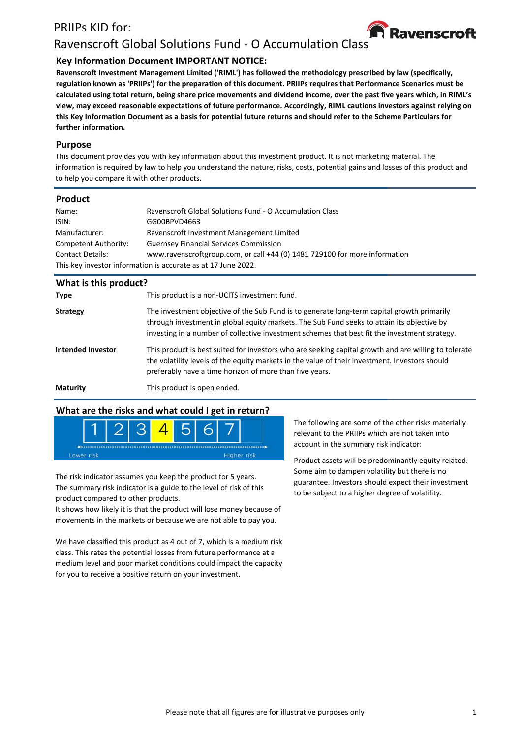# PRIIPs KID for:



# Ravenscroft Global Solutions Fund - O Accumulation Class

## **Key Information Document IMPORTANT NOTICE:**

**Ravenscroft Investment Management Limited ('RIML') has followed the methodology prescribed by law (specifically, regulation known as 'PRIIPs') for the preparation of this document. PRIIPs requires that Performance Scenarios must be calculated using total return, being share price movements and dividend income, over the past five years which, in RIML's view, may exceed reasonable expectations of future performance. Accordingly, RIML cautions investors against relying on this Key Information Document as a basis for potential future returns and should refer to the Scheme Particulars for further information.**

#### **Purpose**

This document provides you with key information about this investment product. It is not marketing material. The information is required by law to help you understand the nature, risks, costs, potential gains and losses of this product and to help you compare it with other products.

#### **Product**

| Name:                                                         | <b>Ravenscroft Global Solutions Fund - O Accumulation Class</b>            |  |  |
|---------------------------------------------------------------|----------------------------------------------------------------------------|--|--|
| ISIN:                                                         | GG00BPVD4663                                                               |  |  |
| Manufacturer:                                                 | Ravenscroft Investment Management Limited                                  |  |  |
| Competent Authority:                                          | <b>Guernsey Financial Services Commission</b>                              |  |  |
| <b>Contact Details:</b>                                       | www.ravenscroftgroup.com, or call +44 (0) 1481 729100 for more information |  |  |
| This key investor information is accurate as at 17 June 2022. |                                                                            |  |  |

| What is this product? |                                                                                                                                                                                                                                                                                           |
|-----------------------|-------------------------------------------------------------------------------------------------------------------------------------------------------------------------------------------------------------------------------------------------------------------------------------------|
| <b>Type</b>           | This product is a non-UCITS investment fund.                                                                                                                                                                                                                                              |
| <b>Strategy</b>       | The investment objective of the Sub Fund is to generate long-term capital growth primarily<br>through investment in global equity markets. The Sub Fund seeks to attain its objective by<br>investing in a number of collective investment schemes that best fit the investment strategy. |
| Intended Investor     | This product is best suited for investors who are seeking capital growth and are willing to tolerate<br>the volatility levels of the equity markets in the value of their investment. Investors should<br>preferably have a time horizon of more than five years.                         |
| <b>Maturity</b>       | This product is open ended.                                                                                                                                                                                                                                                               |

#### **What are the risks and what could I get in return?**



The risk indicator assumes you keep the product for 5 years. The summary risk indicator is a guide to the level of risk of this product compared to other products.

It shows how likely it is that the product will lose money because of movements in the markets or because we are not able to pay you.

We have classified this product as 4 out of 7, which is a medium risk class. This rates the potential losses from future performance at a medium level and poor market conditions could impact the capacity for you to receive a positive return on your investment.

The following are some of the other risks materially relevant to the PRIIPs which are not taken into account in the summary risk indicator:

Product assets will be predominantly equity related. Some aim to dampen volatility but there is no guarantee. Investors should expect their investment to be subject to a higher degree of volatility.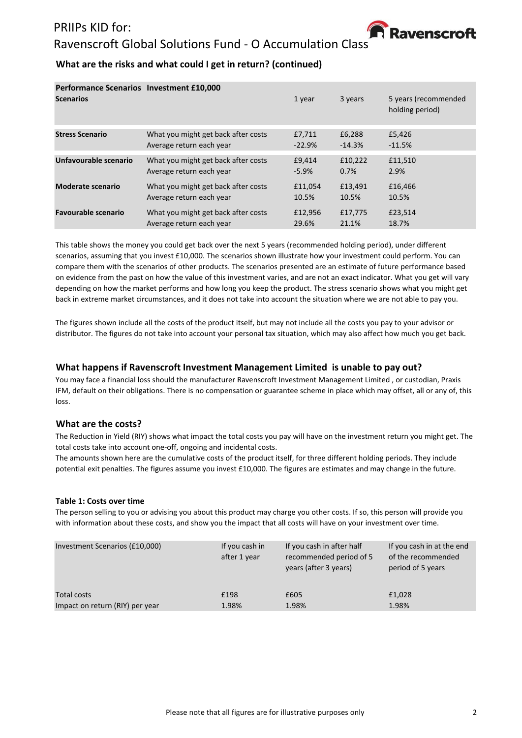### PRIIPs KID for:



# Ravenscroft Global Solutions Fund - O Accumulation Class

### **What are the risks and what could I get in return? (continued)**

| Performance Scenarios Investment £10,000<br><b>Scenarios</b> |                                     | 1 year   | 3 years  | 5 years (recommended<br>holding period) |
|--------------------------------------------------------------|-------------------------------------|----------|----------|-----------------------------------------|
| <b>Stress Scenario</b>                                       | What you might get back after costs | £7,711   | £6,288   | £5,426                                  |
|                                                              | Average return each year            | $-22.9%$ | $-14.3%$ | $-11.5%$                                |
| Unfavourable scenario                                        | What you might get back after costs | £9,414   | £10,222  | £11,510                                 |
|                                                              | Average return each year            | $-5.9%$  | 0.7%     | 2.9%                                    |
| Moderate scenario                                            | What you might get back after costs | £11,054  | £13,491  | £16,466                                 |
|                                                              | Average return each year            | 10.5%    | 10.5%    | 10.5%                                   |
| <b>Favourable scenario</b>                                   | What you might get back after costs | £12,956  | £17,775  | £23,514                                 |
|                                                              | Average return each year            | 29.6%    | 21.1%    | 18.7%                                   |

This table shows the money you could get back over the next 5 years (recommended holding period), under different scenarios, assuming that you invest £10,000. The scenarios shown illustrate how your investment could perform. You can compare them with the scenarios of other products. The scenarios presented are an estimate of future performance based on evidence from the past on how the value of this investment varies, and are not an exact indicator. What you get will vary depending on how the market performs and how long you keep the product. The stress scenario shows what you might get back in extreme market circumstances, and it does not take into account the situation where we are not able to pay you.

The figures shown include all the costs of the product itself, but may not include all the costs you pay to your advisor or distributor. The figures do not take into account your personal tax situation, which may also affect how much you get back.

#### **What happens if Ravenscroft Investment Management Limited is unable to pay out?**

You may face a financial loss should the manufacturer Ravenscroft Investment Management Limited , or custodian, Praxis IFM, default on their obligations. There is no compensation or guarantee scheme in place which may offset, all or any of, this loss.

#### **What are the costs?**

The Reduction in Yield (RIY) shows what impact the total costs you pay will have on the investment return you might get. The total costs take into account one-off, ongoing and incidental costs.

The amounts shown here are the cumulative costs of the product itself, for three different holding periods. They include potential exit penalties. The figures assume you invest £10,000. The figures are estimates and may change in the future.

#### **Table 1: Costs over time**

The person selling to you or advising you about this product may charge you other costs. If so, this person will provide you with information about these costs, and show you the impact that all costs will have on your investment over time.

| Investment Scenarios (£10,000)  | If you cash in<br>after 1 year | If you cash in after half<br>recommended period of 5<br>years (after 3 years) | If you cash in at the end<br>of the recommended<br>period of 5 years |
|---------------------------------|--------------------------------|-------------------------------------------------------------------------------|----------------------------------------------------------------------|
| Total costs                     | £198                           | £605                                                                          | £1,028                                                               |
| Impact on return (RIY) per year | 1.98%                          | 1.98%                                                                         | 1.98%                                                                |